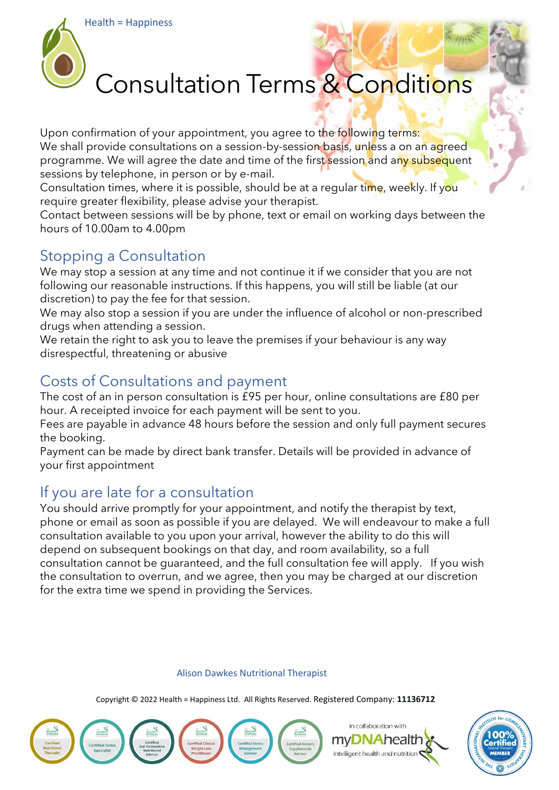

# Consultation Terms & Conditions

Upon confirmation of your appointment, you agree to the following terms: We shall provide consultations on a session-by-session basis, unless a on an agreed programme. We will agree the date and time of the first session and any subsequent sessions by telephone, in person or by e-mail.

Consultation times, where it is possible, should be at a regular time, weekly. If you require greater flexibility, please advise your therapist.

Contact between sessions will be by phone, text or email on working days between the hours of 10.00am to 4.00pm

# Stopping a Consultation

We may stop a session at any time and not continue it if we consider that you are not following our reasonable instructions. If this happens, you will still be liable (at our discretion) to pay the fee for that session.

We may also stop a session if you are under the influence of alcohol or non-prescribed drugs when attending a session.

We retain the right to ask you to leave the premises if your behaviour is any way disrespectful, threatening or abusive

# Costs of Consultations and payment

The cost of an in person consultation is £95 per hour, online consultations are £80 per hour. A receipted invoice for each payment will be sent to you.

Fees are payable in advance 48 hours before the session and only full payment secures the booking.

Payment can be made by direct bank transfer. Details will be provided in advance of your first appointment

# If you are late for a consultation

You should arrive promptly for your appointment, and notify the therapist by text, phone or email as soon as possible if you are delayed. We will endeavour to make a full consultation available to you upon your arrival, however the ability to do this will depend on subsequent bookings on that day, and room availability, so a full consultation cannot be guaranteed, and the full consultation fee will apply. If you wish the consultation to overrun, and we agree, then you may be charged at our discretion for the extra time we spend in providing the Services.

#### Alison Dawkes Nutritional Therapist

Copyright © 2022 Health = Happiness Ltd. All Rights Reserved. Registered Company: **11136712**